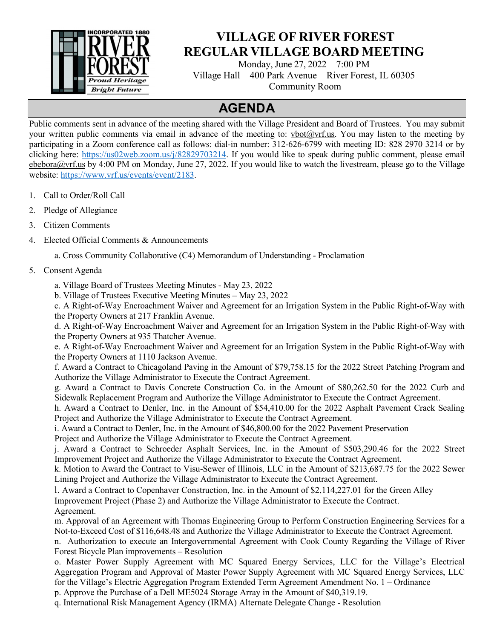

## **VILLAGE OF RIVER FOREST REGULAR VILLAGE BOARD MEETING**

Monday, June 27, 2022 – 7:00 PM Village Hall – 400 Park Avenue – River Forest, IL 60305 Community Room

## **AGENDA**

Public comments sent in advance of the meeting shared with the Village President and Board of Trustees. You may submit your written public comments via email in advance of the meeting to: vbot $@vrf.w.s.$  You may listen to the meeting by participating in a Zoom conference call as follows: dial-in number: 312-626-6799 with meeting ID: 828 2970 3214 or by clicking here: [https://us02web.zoom.us/j/82829703214.](https://us02web.zoom.us/j/82829703214) If you would like to speak during public comment, please email ebebora@vrf.us by 4:00 PM on Monday, June 27, 2022. If you would like to watch the livestream, please go to the Village website: [https://www.vrf.us/events/event/2183.](https://www.vrf.us/events/event/2183)

- 1. Call to Order/Roll Call
- 2. Pledge of Allegiance
- 3. Citizen Comments
- 4. Elected Official Comments & Announcements

a. Cross Community Collaborative (C4) Memorandum of Understanding - Proclamation

5. Consent Agenda

a. Village Board of Trustees Meeting Minutes - May 23, 2022

b. Village of Trustees Executive Meeting Minutes – May 23, 2022

c. A Right-of-Way Encroachment Waiver and Agreement for an Irrigation System in the Public Right-of-Way with the Property Owners at 217 Franklin Avenue.

d. A Right-of-Way Encroachment Waiver and Agreement for an Irrigation System in the Public Right-of-Way with the Property Owners at 935 Thatcher Avenue.

e. A Right-of-Way Encroachment Waiver and Agreement for an Irrigation System in the Public Right-of-Way with the Property Owners at 1110 Jackson Avenue.

f. Award a Contract to Chicagoland Paving in the Amount of \$79,758.15 for the 2022 Street Patching Program and Authorize the Village Administrator to Execute the Contract Agreement.

g. Award a Contract to Davis Concrete Construction Co. in the Amount of \$80,262.50 for the 2022 Curb and Sidewalk Replacement Program and Authorize the Village Administrator to Execute the Contract Agreement.

h. Award a Contract to Denler, Inc. in the Amount of \$54,410.00 for the 2022 Asphalt Pavement Crack Sealing Project and Authorize the Village Administrator to Execute the Contract Agreement.

i. Award a Contract to Denler, Inc. in the Amount of \$46,800.00 for the 2022 Pavement Preservation

Project and Authorize the Village Administrator to Execute the Contract Agreement.

j. Award a Contract to Schroeder Asphalt Services, Inc. in the Amount of \$503,290.46 for the 2022 Street Improvement Project and Authorize the Village Administrator to Execute the Contract Agreement.

k. Motion to Award the Contract to Visu-Sewer of Illinois, LLC in the Amount of \$213,687.75 for the 2022 Sewer Lining Project and Authorize the Village Administrator to Execute the Contract Agreement.

l. Award a Contract to Copenhaver Construction, Inc. in the Amount of \$2,114,227.01 for the Green Alley Improvement Project (Phase 2) and Authorize the Village Administrator to Execute the Contract. Agreement.

m. Approval of an Agreement with Thomas Engineering Group to Perform Construction Engineering Services for a Not-to-Exceed Cost of \$116,648.48 and Authorize the Village Administrator to Execute the Contract Agreement.

n. Authorization to execute an Intergovernmental Agreement with Cook County Regarding the Village of River Forest Bicycle Plan improvements – Resolution

o. Master Power Supply Agreement with MC Squared Energy Services, LLC for the Village's Electrical Aggregation Program and Approval of Master Power Supply Agreement with MC Squared Energy Services, LLC for the Village's Electric Aggregation Program Extended Term Agreement Amendment No. 1 – Ordinance

p. Approve the Purchase of a Dell ME5024 Storage Array in the Amount of \$40,319.19.

q. International Risk Management Agency (IRMA) Alternate Delegate Change - Resolution